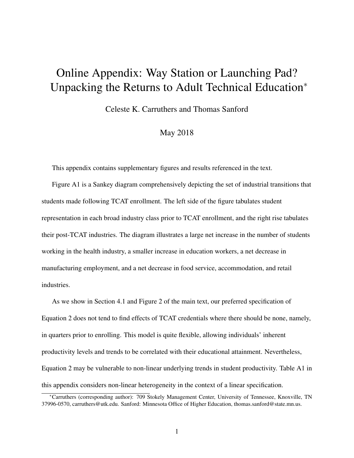# Online Appendix: Way Station or Launching Pad? Unpacking the Returns to Adult Technical Education*<sup>∗</sup>*

Celeste K. Carruthers and Thomas Sanford

# May 2018

This appendix contains supplementary figures and results referenced in the text.

Figure A1 is a Sankey diagram comprehensively depicting the set of industrial transitions that students made following TCAT enrollment. The left side of the figure tabulates student representation in each broad industry class prior to TCAT enrollment, and the right rise tabulates their post-TCAT industries. The diagram illustrates a large net increase in the number of students working in the health industry, a smaller increase in education workers, a net decrease in manufacturing employment, and a net decrease in food service, accommodation, and retail industries.

As we show in Section 4.1 and Figure 2 of the main text, our preferred specification of Equation 2 does not tend to find effects of TCAT credentials where there should be none, namely, in quarters prior to enrolling. This model is quite flexible, allowing individuals' inherent productivity levels and trends to be correlated with their educational attainment. Nevertheless, Equation 2 may be vulnerable to non-linear underlying trends in student productivity. Table A1 in this appendix considers non-linear heterogeneity in the context of a linear specification.

*<sup>∗</sup>*Carruthers (corresponding author): 709 Stokely Management Center, University of Tennessee, Knoxville, TN 37996-0570, carruthers@utk.edu. Sanford: Minnesota Office of Higher Education, thomas.sanford@state.mn.us.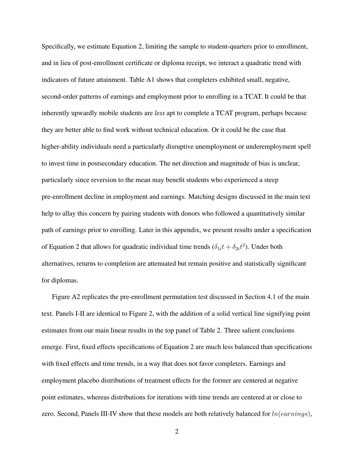Specifically, we estimate Equation 2, limiting the sample to student-quarters prior to enrollment, and in lieu of post-enrollment certificate or diploma receipt, we interact a quadratic trend with indicators of future attainment. Table A1 shows that completers exhibited small, negative, second-order patterns of earnings and employment prior to enrolling in a TCAT. It could be that inherently upwardly mobile students are *less* apt to complete a TCAT program, perhaps because they are better able to find work without technical education. Or it could be the case that higher-ability individuals need a particularly disruptive unemployment or underemployment spell to invest time in postsecondary education. The net direction and magnitude of bias is unclear, particularly since reversion to the mean may benefit students who experienced a steep pre-enrollment decline in employment and earnings. Matching designs discussed in the main text help to allay this concern by pairing students with donors who followed a quantitatively similar path of earnings prior to enrolling. Later in this appendix, we present results under a specification of Equation 2 that allows for quadratic individual time trends  $(\delta_{1i}t + \delta_{2i}t^2)$ . Under both alternatives, returns to completion are attenuated but remain positive and statistically significant for diplomas.

Figure A2 replicates the pre-enrollment permutation test discussed in Section 4.1 of the main text. Panels I-II are identical to Figure 2, with the addition of a solid vertical line signifying point estimates from our main linear results in the top panel of Table 2. Three salient conclusions emerge. First, fixed effects specifications of Equation 2 are much less balanced than specifications with fixed effects and time trends, in a way that does not favor completers. Earnings and employment placebo distributions of treatment effects for the former are centered at negative point estimates, whereas distributions for iterations with time trends are centered at or close to zero. Second, Panels III-IV show that these models are both relatively balanced for *ln*(*earnings*),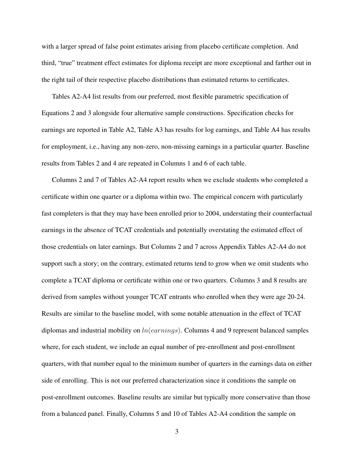with a larger spread of false point estimates arising from placebo certificate completion. And third, "true" treatment effect estimates for diploma receipt are more exceptional and farther out in the right tail of their respective placebo distributions than estimated returns to certificates.

Tables A2-A4 list results from our preferred, most flexible parametric specification of Equations 2 and 3 alongside four alternative sample constructions. Specification checks for earnings are reported in Table A2, Table A3 has results for log earnings, and Table A4 has results for employment, i.e., having any non-zero, non-missing earnings in a particular quarter. Baseline results from Tables 2 and 4 are repeated in Columns 1 and 6 of each table.

Columns 2 and 7 of Tables A2-A4 report results when we exclude students who completed a certificate within one quarter or a diploma within two. The empirical concern with particularly fast completers is that they may have been enrolled prior to 2004, understating their counterfactual earnings in the absence of TCAT credentials and potentially overstating the estimated effect of those credentials on later earnings. But Columns 2 and 7 across Appendix Tables A2-A4 do not support such a story; on the contrary, estimated returns tend to grow when we omit students who complete a TCAT diploma or certificate within one or two quarters. Columns 3 and 8 results are derived from samples without younger TCAT entrants who enrolled when they were age 20-24. Results are similar to the baseline model, with some notable attenuation in the effect of TCAT diplomas and industrial mobility on *ln*(*earnings*). Columns 4 and 9 represent balanced samples where, for each student, we include an equal number of pre-enrollment and post-enrollment quarters, with that number equal to the minimum number of quarters in the earnings data on either side of enrolling. This is not our preferred characterization since it conditions the sample on post-enrollment outcomes. Baseline results are similar but typically more conservative than those from a balanced panel. Finally, Columns 5 and 10 of Tables A2-A4 condition the sample on

3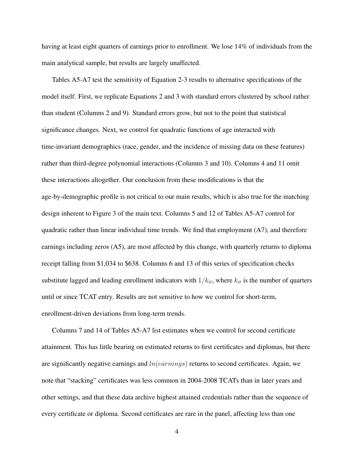having at least eight quarters of earnings prior to enrollment. We lose 14% of individuals from the main analytical sample, but results are largely unaffected.

Tables A5-A7 test the sensitivity of Equation 2-3 results to alternative specifications of the model itself. First, we replicate Equations 2 and 3 with standard errors clustered by school rather than student (Columns 2 and 9). Standard errors grow, but not to the point that statistical significance changes. Next, we control for quadratic functions of age interacted with time-invariant demographics (race, gender, and the incidence of missing data on these features) rather than third-degree polynomial interactions (Columns 3 and 10). Columns 4 and 11 omit these interactions altogether. Our conclusion from these modifications is that the age-by-demographic profile is not critical to our main results, which is also true for the matching design inherent to Figure 3 of the main text. Columns 5 and 12 of Tables A5-A7 control for quadratic rather than linear individual time trends. We find that employment (A7), and therefore earnings including zeros (A5), are most affected by this change, with quarterly returns to diploma receipt falling from \$1,034 to \$638. Columns 6 and 13 of this series of specification checks substitute lagged and leading enrollment indicators with  $1/k_{it}$ , where  $k_{it}$  is the number of quarters until or since TCAT entry. Results are not sensitive to how we control for short-term, enrollment-driven deviations from long-term trends.

Columns 7 and 14 of Tables A5-A7 list estimates when we control for second certificate attainment. This has little bearing on estimated returns to first certificates and diplomas, but there are significantly negative earnings and *ln*(*earnings*) returns to second certificates. Again, we note that "stacking" certificates was less common in 2004-2008 TCATs than in later years and other settings, and that these data archive highest attained credentials rather than the sequence of every certificate or diploma. Second certificates are rare in the panel, affecting less than one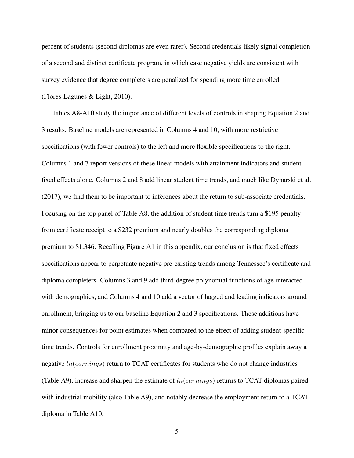percent of students (second diplomas are even rarer). Second credentials likely signal completion of a second and distinct certificate program, in which case negative yields are consistent with survey evidence that degree completers are penalized for spending more time enrolled ([Flores-Lagunes & Light,](#page-7-0) [2010](#page-7-0)).

Tables A8-A10 study the importance of different levels of controls in shaping Equation 2 and 3 results. Baseline models are represented in Columns 4 and 10, with more restrictive specifications (with fewer controls) to the left and more flexible specifications to the right. Columns 1 and 7 report versions of these linear models with attainment indicators and student fixed effects alone. Columns 2 and 8 add linear student time trends, and much like [Dynarski et al.](#page-7-0) ([2017\)](#page-7-0), we find them to be important to inferences about the return to sub-associate credentials. Focusing on the top panel of Table A8, the addition of student time trends turn a \$195 penalty from certificate receipt to a \$232 premium and nearly doubles the corresponding diploma premium to \$1,346. Recalling Figure A1 in this appendix, our conclusion is that fixed effects specifications appear to perpetuate negative pre-existing trends among Tennessee's certificate and diploma completers. Columns 3 and 9 add third-degree polynomial functions of age interacted with demographics, and Columns 4 and 10 add a vector of lagged and leading indicators around enrollment, bringing us to our baseline Equation 2 and 3 specifications. These additions have minor consequences for point estimates when compared to the effect of adding student-specific time trends. Controls for enrollment proximity and age-by-demographic profiles explain away a negative *ln*(*earnings*) return to TCAT certificates for students who do not change industries (Table A9), increase and sharpen the estimate of *ln*(*earnings*) returns to TCAT diplomas paired with industrial mobility (also Table A9), and notably decrease the employment return to a TCAT diploma in Table A10.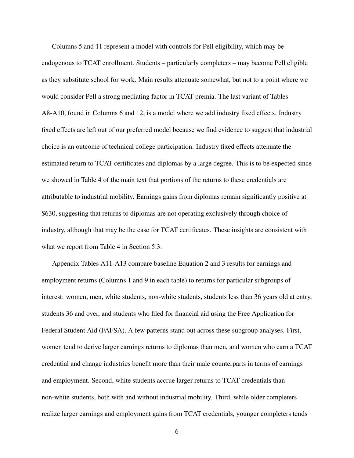Columns 5 and 11 represent a model with controls for Pell eligibility, which may be endogenous to TCAT enrollment. Students – particularly completers – may become Pell eligible as they substitute school for work. Main results attenuate somewhat, but not to a point where we would consider Pell a strong mediating factor in TCAT premia. The last variant of Tables A8-A10, found in Columns 6 and 12, is a model where we add industry fixed effects. Industry fixed effects are left out of our preferred model because we find evidence to suggest that industrial choice is an outcome of technical college participation. Industry fixed effects attenuate the estimated return to TCAT certificates and diplomas by a large degree. This is to be expected since we showed in Table 4 of the main text that portions of the returns to these credentials are attributable to industrial mobility. Earnings gains from diplomas remain significantly positive at \$630, suggesting that returns to diplomas are not operating exclusively through choice of industry, although that may be the case for TCAT certificates. These insights are consistent with what we report from Table 4 in Section 5.3.

Appendix Tables A11-A13 compare baseline Equation 2 and 3 results for earnings and employment returns (Columns 1 and 9 in each table) to returns for particular subgroups of interest: women, men, white students, non-white students, students less than 36 years old at entry, students 36 and over, and students who filed for financial aid using the Free Application for Federal Student Aid (FAFSA). A few patterns stand out across these subgroup analyses. First, women tend to derive larger earnings returns to diplomas than men, and women who earn a TCAT credential and change industries benefit more than their male counterparts in terms of earnings and employment. Second, white students accrue larger returns to TCAT credentials than non-white students, both with and without industrial mobility. Third, while older completers realize larger earnings and employment gains from TCAT credentials, younger completers tends

6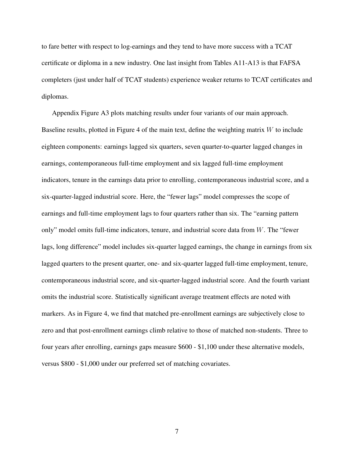to fare better with respect to log-earnings and they tend to have more success with a TCAT certificate or diploma in a new industry. One last insight from Tables A11-A13 is that FAFSA completers (just under half of TCAT students) experience weaker returns to TCAT certificates and diplomas.

Appendix Figure A3 plots matching results under four variants of our main approach. Baseline results, plotted in Figure 4 of the main text, define the weighting matrix *W* to include eighteen components: earnings lagged six quarters, seven quarter-to-quarter lagged changes in earnings, contemporaneous full-time employment and six lagged full-time employment indicators, tenure in the earnings data prior to enrolling, contemporaneous industrial score, and a six-quarter-lagged industrial score. Here, the "fewer lags" model compresses the scope of earnings and full-time employment lags to four quarters rather than six. The "earning pattern only" model omits full-time indicators, tenure, and industrial score data from *W*. The "fewer lags, long difference" model includes six-quarter lagged earnings, the change in earnings from six lagged quarters to the present quarter, one- and six-quarter lagged full-time employment, tenure, contemporaneous industrial score, and six-quarter-lagged industrial score. And the fourth variant omits the industrial score. Statistically significant average treatment effects are noted with markers. As in Figure 4, we find that matched pre-enrollment earnings are subjectively close to zero and that post-enrollment earnings climb relative to those of matched non-students. Three to four years after enrolling, earnings gaps measure \$600 - \$1,100 under these alternative models, versus \$800 - \$1,000 under our preferred set of matching covariates.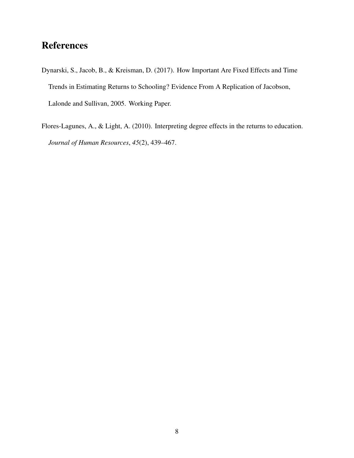# <span id="page-7-0"></span>**References**

- Dynarski, S., Jacob, B., & Kreisman, D. (2017). How Important Are Fixed Effects and Time Trends in Estimating Returns to Schooling? Evidence From A Replication of Jacobson, Lalonde and Sullivan, 2005. Working Paper.
- Flores-Lagunes, A., & Light, A. (2010). Interpreting degree effects in the returns to education. *Journal of Human Resources*, *45*(2), 439–467.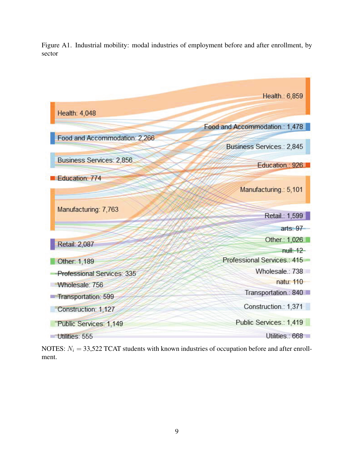Figure A1. Industrial mobility: modal industries of employment before and after enrollment, by sector



NOTES:  $N_i = 33,522$  TCAT students with known industries of occupation before and after enrollment.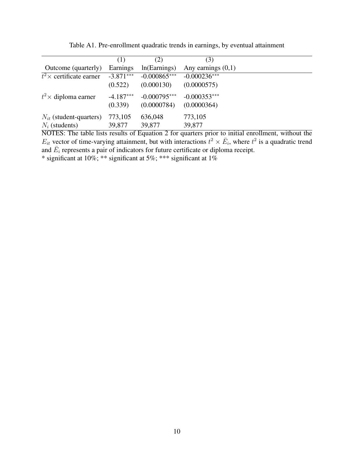|                             | (1)         | (2)            | (3)                  |  |
|-----------------------------|-------------|----------------|----------------------|--|
| Outcome (quarterly)         | Earnings    | ln(Earnings)   | Any earnings $(0,1)$ |  |
| $t^2$ × certificate earner  | $-3.871***$ | $-0.000865***$ | $-0.000236***$       |  |
|                             | (0.522)     | (0.000130)     | (0.0000575)          |  |
| $t^2$ × diploma earner      | $-4.187***$ | $-0.000795***$ | $-0.000353***$       |  |
|                             | (0.339)     | (0.0000784)    | (0.0000364)          |  |
| $N_{it}$ (student-quarters) | 773,105     | 636,048        | 773,105              |  |
| $N_i$ (students)            | 39,877      | 39,877         | 39,877               |  |

Table A1. Pre-enrollment quadratic trends in earnings, by eventual attainment

NOTES: The table lists results of Equation 2 for quarters prior to initial enrollment, without the  $E_{it}$  vector of time-varying attainment, but with interactions  $t^2 \times \bar{E}_i$ , where  $t^2$  is a quadratic trend and  $\bar{E}_i$  represents a pair of indicators for future certificate or diploma receipt.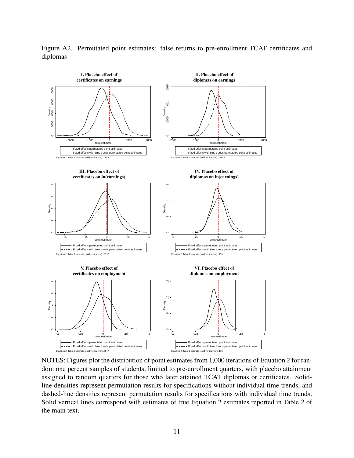

Figure A2. Permutated point estimates: false returns to pre-enrollment TCAT certificates and diplomas

NOTES: Figures plot the distribution of point estimates from 1,000 iterations of Equation 2 for random one percent samples of students, limited to pre-enrollment quarters, with placebo attainment assigned to random quarters for those who later attained TCAT diplomas or certificates. Solidline densities represent permutation results for specifications without individual time trends, and dashed-line densities represent permutation results for specifications with individual time trends. Solid vertical lines correspond with estimates of true Equation 2 estimates reported in Table 2 of the main text.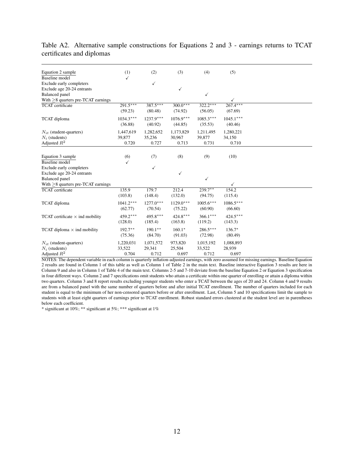| Equation 2 sample                      | (1)         | (2)          | (3)          | (4)          | (5)          |  |
|----------------------------------------|-------------|--------------|--------------|--------------|--------------|--|
| <b>Baseline</b> model                  |             |              |              |              |              |  |
| Exclude early completers               |             | $\checkmark$ |              |              |              |  |
| Exclude age 20-24 entrants             |             |              | $\checkmark$ |              |              |  |
| <b>Balanced</b> panel                  |             |              |              | $\checkmark$ |              |  |
| With $>8$ quarters pre-TCAT earnings   |             |              |              |              |              |  |
| <b>TCAT</b> certificate                | $291.5***$  | $387.5***$   | $300.0***$   | $322.2***$   | $267.4***$   |  |
|                                        | (59.23)     | (80.48)      | (74.92)      | (56.05)      | (67.69)      |  |
| TCAT diploma                           | $1034.3***$ | $1237.9***$  | $1076.9***$  | $1085.3***$  | $1045.1***$  |  |
|                                        | (36.88)     | (40.92)      | (44.85)      | (35.53)      | (40.46)      |  |
|                                        |             |              |              |              |              |  |
| $N_{it}$ (student-quarters)            | 1,447,619   | 1,282,652    | 1,173,829    | 1,211,495    | 1,280,221    |  |
| $N_i$ (students)                       | 39,877      | 35,236       | 30,967       | 39,877       | 34,150       |  |
| Adjusted $R^2$                         | 0.720       | 0.727        | 0.713        | 0.731        | 0.710        |  |
|                                        |             |              |              |              |              |  |
| Equation 3 sample                      | (6)         | (7)          | (8)          | (9)          | (10)         |  |
| <b>Baseline</b> model                  |             |              |              |              |              |  |
| Exclude early completers               |             | $\checkmark$ |              |              |              |  |
| Exclude age 20-24 entrants             |             |              | ✓            |              |              |  |
| <b>Balanced</b> panel                  |             |              |              | ✓            |              |  |
| With $>8$ quarters pre-TCAT earnings   |             |              |              |              | $\checkmark$ |  |
| TCAT certificate                       | 135.9       | 179.7        | 212.4        | $239.7**$    | 154.2        |  |
|                                        | (103.8)     | (148.4)      | (132.0)      | (94.75)      | (115.4)      |  |
|                                        |             |              |              |              |              |  |
| TCAT diploma                           | $1041.2***$ | $1277.0***$  | $1129.0***$  | $1005.6***$  | $1086.5***$  |  |
|                                        | (62.77)     | (70.54)      | (75.22)      | (60.90)      | (66.60)      |  |
| TCAT certificate $\times$ ind mobility | $459.2***$  | 495.8***     | $424.8***$   | $366.1***$   | $424.5***$   |  |
|                                        | (128.0)     | (185.4)      | (163.8)      | (119.2)      | (143.3)      |  |
| TCAT diploma $\times$ ind mobility     | $192.7**$   | $190.1**$    | $160.1*$     | $286.5***$   | $136.7*$     |  |
|                                        |             |              | (91.03)      |              |              |  |
|                                        | (75.36)     | (84.70)      |              | (72.98)      | (80.49)      |  |
| $N_{it}$ (student-quarters)            | 1,220,031   | 1,071,572    | 973,820      | 1,015,192    | 1,088,893    |  |
| $N_i$ (students)                       | 33,522      | 29,341       | 25,504       | 33,522       | 28,939       |  |
| Adjusted $R^2$                         | 0.704       | 0.712        | 0.697        | 0.712        | 0.697        |  |

Table A2. Alternative sample constructions for Equations 2 and 3 - earnings returns to TCAT certificates and diplomas

NOTES: The dependent variable in each column is quarterly inflation-adjusted earnings, with zero assumed for missing earnings. Baseline Equation 2 results are found in Column 1 of this table as well as Column 1 of Table 2 in the main text. Baseline interactive Equation 3 results are here in Column 9 and also in Column 1 of Table 4 of the main text. Columns 2-5 and 7-10 deviate from the baseline Equation 2 or Equation 3 specification in four different ways. Column 2 and 7 specifications omit students who attain a certificate within one quarter of enrolling or attain a diploma within two quarters. Column 3 and 8 report results excluding younger students who enter a TCAT between the ages of 20 and 24. Column 4 and 9 results are from a balanced panel with the same number of quarters before and after initial TCAT enrollment. The number of quarters included for each student is equal to the minimum of her non-censored quarters before or after enrollment. Last, Column 5 and 10 specifications limit the sample to students with at least eight quarters of earnings prior to TCAT enrollment. Robust standard errors clustered at the student level are in parentheses below each coefficient.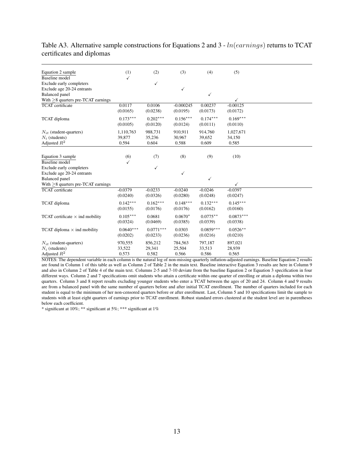#### Table A3. Alternative sample constructions for Equations 2 and 3 - *ln*(*earnings*) returns to TCAT certificates and diplomas

| Equation 2 sample                        | (1)             | (2)             | (3)             | (4)             | (5)             |
|------------------------------------------|-----------------|-----------------|-----------------|-----------------|-----------------|
| <b>Baseline</b> model                    | ✓               |                 |                 |                 |                 |
| Exclude early completers                 |                 | $\checkmark$    |                 |                 |                 |
| Exclude age 20-24 entrants               |                 |                 | $\checkmark$    |                 |                 |
| <b>Balanced</b> panel                    |                 |                 |                 | ✓               |                 |
| With $\geq$ 8 quarters pre-TCAT earnings |                 |                 |                 |                 |                 |
| <b>TCAT</b> certificate                  | 0.0117          | 0.0106          | $-0.000245$     | 0.00237         | $-0.00125$      |
|                                          | (0.0165)        | (0.0238)        | (0.0195)        | (0.0173)        | (0.0172)        |
| TCAT diploma                             | $0.173***$      | $0.202***$      | $0.156***$      | $0.174***$      | $0.169***$      |
|                                          | (0.0105)        | (0.0120)        | (0.0124)        | (0.0111)        | (0.0110)        |
|                                          |                 |                 |                 |                 |                 |
| $N_{it}$ (student-quarters)              | 1,110,763       | 988,731         | 910,911         | 914,760         | 1,027,671       |
| $N_i$ (students)<br>Adjusted $R^2$       | 39,877<br>0.594 | 35,236<br>0.604 | 30,967<br>0.588 | 39,652<br>0.609 | 34,150<br>0.585 |
|                                          |                 |                 |                 |                 |                 |
|                                          |                 |                 |                 |                 |                 |
| Equation 3 sample                        | (6)             | (7)             | (8)             | (9)             | (10)            |
| <b>Baseline</b> model                    | $\checkmark$    |                 |                 |                 |                 |
| Exclude early completers                 |                 | $\checkmark$    |                 |                 |                 |
| Exclude age 20-24 entrants               |                 |                 | $\checkmark$    |                 |                 |
| <b>Balanced</b> panel                    |                 |                 |                 | ✓               |                 |
| With $>8$ quarters pre-TCAT earnings     |                 |                 |                 |                 | ✓               |
| <b>TCAT</b> certificate                  | $-0.0379$       | $-0.0233$       | $-0.0240$       | $-0.0246$       | $-0.0397$       |
|                                          | (0.0240)        | (0.0326)        | (0.0280)        | (0.0248)        | (0.0247)        |
| TCAT diploma                             | $0.142***$      | $0.162***$      | $0.148***$      | $0.132***$      | $0.145***$      |
|                                          | (0.0155)        | (0.0176)        | (0.0176)        | (0.0162)        | (0.0160)        |
| TCAT certificate $\times$ ind mobility   | $0.105***$      | 0.0681          | $0.0670*$       | $0.0775**$      | $0.0873***$     |
|                                          | (0.0324)        | (0.0469)        | (0.0385)        | (0.0339)        | (0.0338)        |
| TCAT diploma $\times$ ind mobility       | $0.0640***$     | $0.0771***$     | 0.0303          | $0.0859***$     | $0.0526**$      |
|                                          | (0.0202)        | (0.0233)        | (0.0236)        | (0.0216)        | (0.0210)        |
|                                          |                 |                 |                 |                 |                 |
| $N_{it}$ (student-quarters)              | 970,555         | 856,212         | 784,563         | 797,187         | 897,021         |
| $N_i$ (students)                         | 33,522          | 29,341          | 25,504          | 33,513          | 28,939          |
| Adjusted $R^2$                           | 0.573           | 0.582           | 0.566           | 0.586           | 0.565           |

NOTES: The dependent variable in each column is the natural log of non-missing quarterly inflation-adjusted earnings. Baseline Equation 2 results are found in Column 1 of this table as well as Column 2 of Table 2 in the main text. Baseline interactive Equation 3 results are here in Column 9 and also in Column 2 of Table 4 of the main text. Columns 2-5 and 7-10 deviate from the baseline Equation 2 or Equation 3 specification in four different ways. Column 2 and 7 specifications omit students who attain a certificate within one quarter of enrolling or attain a diploma within two quarters. Column 3 and 8 report results excluding younger students who enter a TCAT between the ages of 20 and 24. Column 4 and 9 results are from a balanced panel with the same number of quarters before and after initial TCAT enrollment. The number of quarters included for each student is equal to the minimum of her non-censored quarters before or after enrollment. Last, Column 5 and 10 specifications limit the sample to students with at least eight quarters of earnings prior to TCAT enrollment. Robust standard errors clustered at the student level are in parentheses below each coefficient.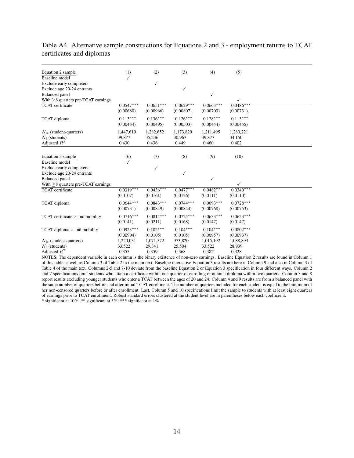#### Table A4. Alternative sample constructions for Equations 2 and 3 - employment returns to TCAT certificates and diplomas

| Equation 2 sample                        | (1)                      | (2)                      | (3)                      | (4)                      | (5)                      |  |
|------------------------------------------|--------------------------|--------------------------|--------------------------|--------------------------|--------------------------|--|
| Baseline model                           | ✓                        |                          |                          |                          |                          |  |
| Exclude early completers                 |                          | ✓                        |                          |                          |                          |  |
| Exclude age 20-24 entrants               |                          |                          | $\checkmark$             |                          |                          |  |
| <b>Balanced</b> panel                    |                          |                          |                          | ✓                        |                          |  |
| With $\geq$ 8 quarters pre-TCAT earnings |                          |                          |                          |                          | ✓                        |  |
| <b>TCAT</b> certificate                  | $0.0547***$<br>(0.00680) | $0.0651***$<br>(0.00966) | $0.0629***$<br>(0.00807) | $0.0663***$<br>(0.00703) | $0.0486***$<br>(0.00731) |  |
|                                          |                          |                          |                          |                          |                          |  |
| TCAT diploma                             | $0.113***$               | $0.136***$               | $0.126***$               | $0.128***$               | $0.113***$               |  |
|                                          | (0.00434)                | (0.00495)                | (0.00503)                | (0.00444)                | (0.00455)                |  |
| $N_{it}$ (student-quarters)              | 1,447,619                | 1,282,652                | 1,173,829                | 1,211,495                | 1,280,221                |  |
| $N_i$ (students)                         | 39,877                   | 35,236                   | 30,967                   | 39,877                   | 34,150                   |  |
| Adjusted $R^2$                           | 0.430                    | 0.436                    | 0.449                    | 0.460                    | 0.402                    |  |
|                                          |                          |                          |                          |                          |                          |  |
| Equation 3 sample                        | (6)                      | (7)                      | (8)                      | (9)                      | (10)                     |  |
| Baseline model                           | $\checkmark$             |                          |                          |                          |                          |  |
| Exclude early completers                 |                          | ✓                        |                          |                          |                          |  |
| Exclude age 20-24 entrants               |                          |                          | ✓                        |                          |                          |  |
| <b>Balanced</b> panel                    |                          |                          |                          | $\checkmark$             |                          |  |
| With $>8$ quarters pre-TCAT earnings     |                          |                          |                          |                          | ✓                        |  |
| <b>TCAT</b> certificate                  | $0.0319***$              | $0.0436***$              | $0.0477***$              | $0.0482***$              | $0.0340***$              |  |
|                                          | (0.0107)                 | (0.0161)                 | (0.0126)                 | (0.0111)                 | (0.0110)                 |  |
| TCAT diploma                             | $0.0644***$              | $0.0843***$              | $0.0744***$              | $0.0693***$              | $0.0728***$              |  |
|                                          | (0.00731)                | (0.00849)                | (0.00844)                | (0.00768)                | (0.00753)                |  |
|                                          |                          |                          |                          |                          |                          |  |
| TCAT certificate $\times$ ind mobility   | $0.0716***$              | $0.0814***$              | $0.0725***$              | $0.0633***$              | $0.0623***$              |  |
|                                          | (0.0141)                 | (0.0211)                 | (0.0168)                 | (0.0147)                 | (0.0147)                 |  |
| TCAT diploma $\times$ ind mobility       | $0.0923***$              | $0.102***$               | $0.104***$               | $0.104***$               | $0.0802***$              |  |
|                                          | (0.00904)                | (0.0105)                 | (0.0105)                 | (0.00957)                | (0.00937)                |  |
| $N_{it}$ (student-quarters)              | 1,220,031                | 1,071,572                | 973,820                  | 1,015,192                | 1,088,893                |  |
| $N_i$ (students)                         | 33,522                   | 29,341                   | 25,504                   | 33,522                   | 28,939                   |  |
| Adjusted $R^2$                           | 0.355                    | 0.359                    | 0.368                    | 0.382                    | 0.328                    |  |

NOTES: The dependent variable in each column is the binary existence of non-zero earnings. Baseline Equation 2 results are found in Column 1 of this table as well as Column 3 of Table 2 in the main text. Baseline interactive Equation 3 results are here in Column 9 and also in Column 3 of Table 4 of the main text. Columns 2-5 and 7-10 deviate from the baseline Equation 2 or Equation 3 specification in four different ways. Column 2 and 7 specifications omit students who attain a certificate within one quarter of enrolling or attain a diploma within two quarters. Column 3 and 8 report results excluding younger students who enter a TCAT between the ages of 20 and 24. Column 4 and 9 results are from a balanced panel with the same number of quarters before and after initial TCAT enrollment. The number of quarters included for each student is equal to the minimum of her non-censored quarters before or after enrollment. Last, Column 5 and 10 specifications limit the sample to students with at least eight quarters of earnings prior to TCAT enrollment. Robust standard errors clustered at the student level are in parentheses below each coefficient. \* significant at 10%; \*\* significant at 5%; \*\*\* significant at 1%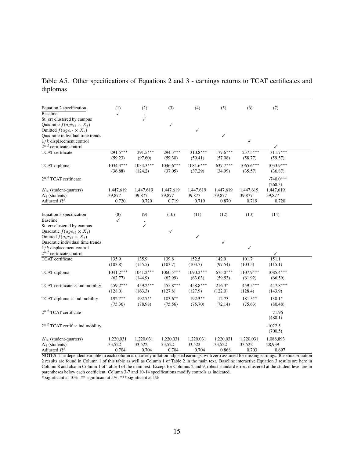Table A5. Other specifications of Equations 2 and 3 - earnings returns to TCAT certificates and diplomas

| Equation 2 specification                                             | (1)         | (2)          | (3)         | (4)         | (5)          | (6)          | (7)          |
|----------------------------------------------------------------------|-------------|--------------|-------------|-------------|--------------|--------------|--------------|
| <b>Baseline</b>                                                      | ✓           |              |             |             |              |              |              |
| St. err clustered by campus                                          |             | ✓            |             |             |              |              |              |
| Quadratic $f(age_{it} \times X_i)$                                   |             |              | ✓           |             |              |              |              |
| Omitted $f(age_{it} \times X_i)$<br>Quadratic individual time trends |             |              |             | ✓           | ✓            |              |              |
| $1/k$ displacement control                                           |             |              |             |             |              | $\checkmark$ |              |
| $2^{nd}$ certificate control                                         |             |              |             |             |              |              | ✓            |
| <b>TCAT</b> certificate                                              | $291.5***$  | $291.5***$   | $294.3***$  | $310.8***$  | $177.6***$   | $237.5***$   | $311.7***$   |
|                                                                      | (59.23)     | (97.60)      | (59.30)     | (59.41)     | (57.08)      | (58.77)      | (59.57)      |
| TCAT diploma                                                         | $1034.3***$ | $1034.3***$  | $1046.6***$ | $1081.6***$ | $637.7***$   | $1065.6***$  | $1033.9***$  |
|                                                                      | (36.88)     | (124.2)      | (37.05)     | (37.29)     | (34.99)      | (35.57)      | (36.87)      |
| $2^{nd}$ TCAT certificate                                            |             |              |             |             |              |              | $-740.0***$  |
|                                                                      |             |              |             |             |              |              | (268.3)      |
| $N_{it}$ (student-quarters)                                          | 1,447,619   | 1,447,619    | 1,447,619   | 1,447,619   | 1,447,619    | 1,447,619    | 1,447,619    |
| $N_i$ (students)                                                     | 39,877      | 39,877       | 39,877      | 39,877      | 39,877       | 39,877       | 39,877       |
| Adjusted $R^2$                                                       | 0.720       | 0.720        | 0.719       | 0.719       | 0.870        | 0.719        | 0.720        |
| Equation 3 specification                                             | (8)         | (9)          | (10)        | (11)        | (12)         | (13)         | (14)         |
| <b>Baseline</b>                                                      | ✓           |              |             |             |              |              |              |
| St. err clustered by campus                                          |             | $\checkmark$ |             |             |              |              |              |
| Quadratic $f(age_{it} \times X_i)$                                   |             |              | ✓           |             |              |              |              |
| Omitted $f(age_{it} \times X_i)$                                     |             |              |             | ✓           |              |              |              |
| Quadratic individual time trends                                     |             |              |             |             | $\checkmark$ | $\checkmark$ |              |
| $1/k$ displacement control<br>$2^{nd}$ certificate control           |             |              |             |             |              |              | $\checkmark$ |
| <b>TCAT</b> certificate                                              | 135.9       | 135.9        | 139.8       | 152.5       | 142.9        | 101.7        | 151.1        |
|                                                                      | (103.8)     | (155.5)      | (103.7)     | (103.7)     | (97.54)      | (103.5)      | (115.1)      |
| TCAT diploma                                                         | $1041.2***$ | $1041.2***$  | $1060.5***$ | $1090.2***$ | $675.0***$   | $1107.9***$  | $1085.4***$  |
|                                                                      | (62.77)     | (144.9)      | (62.99)     | (63.03)     | (59.53)      | (61.92)      | (66.59)      |
| TCAT certificate $\times$ ind mobility                               | 459.2***    | 459.2***     | 455.8***    | 458.8***    | $216.3*$     | 459.5***     | 447.8***     |
|                                                                      | (128.0)     | (163.3)      | (127.8)     | (127.9)     | (122.0)      | (128.4)      | (143.9)      |
| TCAT diploma $\times$ ind mobility                                   | $192.7**$   | $192.7***$   | $183.6***$  | $192.3***$  | 12.73        | $181.5***$   | 138.1*       |
|                                                                      | (75.36)     | (78.98)      | (75.56)     | (75.70)     | (72.14)      | (75.63)      | (80.48)      |
| $2^{nd}$ TCAT certificate                                            |             |              |             |             |              |              | 71.96        |
|                                                                      |             |              |             |             |              |              | (488.1)      |
| $2^{nd}$ TCAT certif $\times$ ind mobility                           |             |              |             |             |              |              | $-1022.5$    |
|                                                                      |             |              |             |             |              |              | (700.5)      |
| $N_{it}$ (student-quarters)                                          | 1,220,031   | 1,220,031    | 1,220,031   | 1,220,031   | 1,220,031    | 1,220,031    | 1,088,893    |
| $N_i$ (students)                                                     | 33,522      | 33,522       | 33,522      | 33,522      | 33,522       | 33,522       | 28,939       |
| Adjusted $R^2$                                                       | 0.704       | 0.704        | 0.704       | 0.704       | 0.868        | 0.703        | 0.697        |

NOTES: The dependent variable in each column is quarterly inflation-adjusted earnings, with zero assumed for missing earnings. Baseline Equation 2 results are found in Column 1 of this table as well as Column 1 of Table 2 in the main text. Baseline interactive Equation 3 results are here in Column 8 and also in Column 1 of Table 4 of the main text. Except for Columns 2 and 9, robust standard errors clustered at the student level are in parentheses below each coefficient. Column 3-7 and 10-14 specifications modify controls as indicated.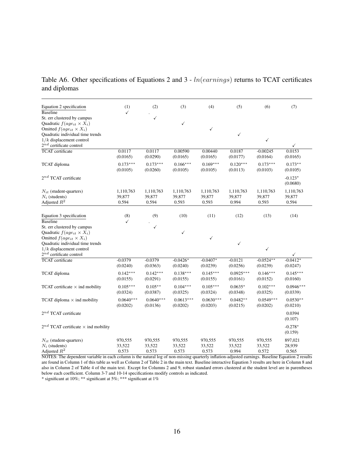Table A6. Other specifications of Equations 2 and 3 - *ln*(*earnings*) returns to TCAT certificates and diplomas

| Equation 2 specification                                             | (1)                     | (2)                     | (3)                     | (4)                     | (5)                     | (6)                     | (7)                    |
|----------------------------------------------------------------------|-------------------------|-------------------------|-------------------------|-------------------------|-------------------------|-------------------------|------------------------|
| <b>Baseline</b><br>St. err clustered by campus                       | ✓                       | ✓                       |                         |                         |                         |                         |                        |
| Quadratic $f(age_{it} \times X_i)$                                   |                         |                         | $\checkmark$            |                         |                         |                         |                        |
| Omitted $f(aq e_{it} \times X_i)$                                    |                         |                         |                         | ✓                       |                         |                         |                        |
| Quadratic individual time trends                                     |                         |                         |                         |                         | $\checkmark$            |                         |                        |
| $1/k$ displacement control                                           |                         |                         |                         |                         |                         | $\checkmark$            |                        |
| $2^{nd}$ certificate control                                         |                         |                         |                         |                         |                         |                         | ✓                      |
| <b>TCAT</b> certificate                                              | 0.0117<br>(0.0165)      | 0.0117<br>(0.0290)      | 0.00590<br>(0.0165)     | 0.00440<br>(0.0165)     | 0.0187<br>(0.0177)      | $-0.00245$<br>(0.0164)  | 0.0153<br>(0.0165)     |
| TCAT diploma                                                         | $0.173***$<br>(0.0105)  | $0.173***$<br>(0.0260)  | $0.166***$<br>(0.0105)  | $0.169***$<br>(0.0105)  | $0.120***$<br>(0.0113)  | $0.173***$<br>(0.0103)  | $0.173**$<br>(0.0105)  |
| $2^{nd}$ TCAT certificate                                            |                         |                         |                         |                         |                         |                         | $-0.123*$<br>(0.0680)  |
| $N_{it}$ (student-quarters)                                          | 1,110,763               | 1,110,763               | 1,110,763               | 1,110,763               | 1,110,763               | 1,110,763               | 1,110,763              |
| $N_i$ (students)                                                     | 39,877                  | 39,877                  | 39,877                  | 39,877                  | 39,877                  | 39,877                  | 39,877                 |
| Adjusted $R^2$                                                       | 0.594                   | 0.594                   | 0.593                   | 0.593                   | 0.994                   | 0.593                   | 0.594                  |
|                                                                      |                         |                         |                         |                         |                         |                         |                        |
| Equation 3 specification                                             | (8)                     | (9)                     | (10)                    | (11)                    | (12)                    | (13)                    | (14)                   |
| <b>Baseline</b>                                                      | ✓                       |                         |                         |                         |                         |                         |                        |
| St. err clustered by campus                                          |                         | $\checkmark$            |                         |                         |                         |                         |                        |
| Quadratic $f(age_{it} \times X_i)$                                   |                         |                         | $\checkmark$            |                         |                         |                         |                        |
| Omitted $f(age_{it} \times X_i)$<br>Quadratic individual time trends |                         |                         |                         | ✓                       | $\checkmark$            |                         |                        |
| $1/k$ displacement control                                           |                         |                         |                         |                         |                         | $\checkmark$            |                        |
| $2^{nd}$ certificate control                                         |                         |                         |                         |                         |                         |                         | ✓                      |
| <b>TCAT</b> certificate                                              | $-0.0379$               | $-0.0379$               | $-0.0426*$              | $-0.0407*$              | $-0.0121$               | $-0.0524**$             | $-0.0412*$             |
|                                                                      | (0.0240)                | (0.0363)                | (0.0240)                | (0.0239)                | (0.0256)                | (0.0239)                | (0.0247)               |
| TCAT diploma                                                         | $0.142***$<br>(0.0155)  | $0.142***$<br>(0.0291)  | $0.138***$<br>(0.0155)  | $0.145***$<br>(0.0155)  | $0.0925***$<br>(0.0161) | $0.146***$<br>(0.0152)  | $0.145***$<br>(0.0160) |
| TCAT certificate $\times$ ind mobility                               | $0.105***$              | $0.105***$              | $0.104***$              | $0.105***$              | $0.0635*$               | $0.102***$              | $0.0946***$            |
|                                                                      | (0.0324)                | (0.0387)                | (0.0325)                | (0.0324)                | (0.0348)                | (0.0325)                | (0.0339)               |
| TCAT diploma $\times$ ind mobility                                   | $0.0640***$<br>(0.0202) | $0.0640***$<br>(0.0136) | $0.0613***$<br>(0.0202) | $0.0630***$<br>(0.0203) | $0.0482**$<br>(0.0215)  | $0.0549***$<br>(0.0202) | $0.0530**$<br>(0.0210) |
| $2^{nd}$ TCAT certificate                                            |                         |                         |                         |                         |                         |                         | 0.0394<br>(0.107)      |
| $2^{nd}$ TCAT certificate $\times$ ind mobility                      |                         |                         |                         |                         |                         |                         | $-0.278*$<br>(0.159)   |
| $N_{it}$ (student-quarters)                                          | 970,555                 | 970,555                 | 970,555                 | 970,555                 | 970,555                 | 970,555                 | 897,021                |
| $N_i$ (students)                                                     | 33,522                  | 33,522                  | 33,522                  | 33,522                  | 33,522                  | 33,522                  | 28,939                 |
| Adjusted $R^2$                                                       | 0.573                   | 0.573                   | 0.573                   | 0.573                   | 0.994                   | 0.572                   | 0.565                  |

NOTES: The dependent variable in each column is the natural log of non-missing quarterly inflation-adjusted earnings. Baseline Equation 2 results are found in Column 1 of this table as well as Column 2 of Table 2 in the main text. Baseline interactive Equation 3 results are here in Column 8 and also in Column 2 of Table 4 of the main text. Except for Columns 2 and 9, robust standard errors clustered at the student level are in parentheses below each coefficient. Column 3-7 and 10-14 specifications modify controls as indicated.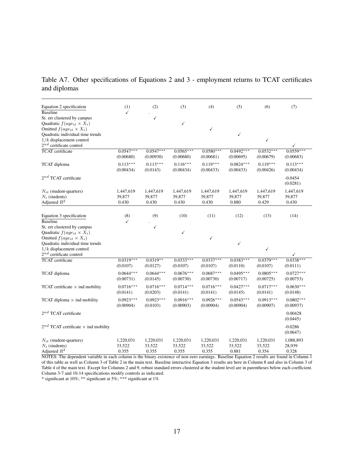Table A7. Other specifications of Equations 2 and 3 - employment returns to TCAT certificates and diplomas

| Equation 2 specification                                              | (1)                          | (2)                          | (3)                          | (4)                          | (5)                          | (6)                          | (7)                          |
|-----------------------------------------------------------------------|------------------------------|------------------------------|------------------------------|------------------------------|------------------------------|------------------------------|------------------------------|
| <b>Baseline</b><br>St. err clustered by campus                        | ✓                            | $\checkmark$                 |                              |                              |                              |                              |                              |
| Quadratic $f(age_{it} \times X_i)$                                    |                              |                              | $\checkmark$                 |                              |                              |                              |                              |
| Omitted $f(aq e_{it} \times X_i)$<br>Quadratic individual time trends |                              |                              |                              | ✓                            | $\checkmark$                 |                              |                              |
| $1/k$ displacement control                                            |                              |                              |                              |                              |                              | $\checkmark$                 |                              |
| $2^{nd}$ certificate control                                          |                              |                              |                              |                              |                              |                              | ✓                            |
| <b>TCAT</b> certificate                                               | $0.0547***$<br>(0.00680)     | $0.0547***$<br>(0.00930)     | $0.0565***$<br>(0.00680)     | $0.0580***$<br>(0.00681)     | $0.0492***$<br>(0.00695)     | $0.0532***$<br>(0.00679)     | $0.0559***$<br>(0.00683)     |
| TCAT diploma                                                          | $0.113***$<br>(0.00434)      | $0.113***$<br>(0.0143)       | $0.116***$<br>(0.00434)      | $0.119***$<br>(0.00433)      | $0.0824***$<br>(0.00433)     | $0.119***$<br>(0.00426)      | $0.113***$<br>(0.00434)      |
| $2^{nd}$ TCAT certificate                                             |                              |                              |                              |                              |                              |                              | $-0.0454$<br>(0.0281)        |
| $N_{it}$ (student-quarters)                                           | 1,447,619                    | 1,447,619                    | 1,447,619                    | 1,447,619                    | 1,447,619                    | 1,447,619                    | 1,447,619                    |
| $N_i$ (students)<br>Adjusted $R^2$                                    | 39,877<br>0.430              | 39,877<br>0.430              | 39,877<br>0.430              | 39,877<br>0.430              | 39,877<br>0.880              | 39,877<br>0.429              | 39,877<br>0.430              |
|                                                                       |                              |                              |                              |                              |                              |                              |                              |
| Equation 3 specification                                              | (8)                          | (9)                          | (10)                         | (11)                         | (12)                         | (13)                         | (14)                         |
| <b>Baseline</b><br>St. err clustered by campus                        | ✓                            | ✓                            |                              |                              |                              |                              |                              |
| Quadratic $f(age_{it} \times X_i)$                                    |                              |                              | $\checkmark$                 |                              |                              |                              |                              |
| Omitted $f(age_{it} \times X_i)$                                      |                              |                              |                              | ✓                            |                              |                              |                              |
| Quadratic individual time trends<br>$1/k$ displacement control        |                              |                              |                              |                              | ✓                            | $\checkmark$                 |                              |
| $2^{nd}$ certificate control                                          |                              |                              |                              |                              |                              |                              | ✓                            |
| <b>TCAT</b> certificate                                               | $0.0319***$<br>(0.0107)      | $0.0319**$<br>(0.0127)       | $0.0333***$<br>(0.0107)      | $0.0337***$<br>(0.0107)      | $0.0383***$<br>(0.0110)      | $0.0379***$<br>(0.0107)      | $0.0338***$<br>(0.0111)      |
| TCAT diploma                                                          | $0.0644***$<br>(0.00731)     | $0.0644***$<br>(0.0145)      | $0.0676***$<br>(0.00730)     | $0.0687***$<br>(0.00730)     | $0.0495***$<br>(0.00717)     | $0.0805***$<br>(0.00725)     | $0.0727***$<br>(0.00753)     |
| TCAT certificate $\times$ ind mobility                                | $0.0716***$<br>(0.0141)      | $0.0716***$<br>(0.0203)      | $0.0714***$<br>(0.0141)      | $0.0716***$<br>(0.0141)      | $0.0427***$<br>(0.0145)      | $0.0717***$<br>(0.0141)      | $0.0630***$<br>(0.0148)      |
| TCAT diploma $\times$ ind mobility                                    | $0.0923***$<br>(0.00904)     | $0.0923***$<br>(0.0103)      | $0.0916***$<br>(0.00903)     | $0.0926***$<br>(0.00904)     | $0.0543***$<br>(0.00904)     | $0.0913***$<br>(0.00907)     | $0.0802***$<br>(0.00937)     |
| $2^{nd}$ TCAT certificate                                             |                              |                              |                              |                              |                              |                              | 0.00428<br>(0.0445)          |
| $2^{nd}$ TCAT certificate $\times$ ind mobility                       |                              |                              |                              |                              |                              |                              | $-0.0286$<br>(0.0647)        |
| $N_{it}$ (student-quarters)<br>$N_i$ (students)<br>Adjusted $R^2$     | 1,220,031<br>33,522<br>0.355 | 1,220,031<br>33,522<br>0.355 | 1,220,031<br>33,522<br>0.355 | 1,220,031<br>33,522<br>0.355 | 1,220,031<br>33,522<br>0.881 | 1,220,031<br>33,522<br>0.354 | 1,088,893<br>28,939<br>0.328 |

NOTES: The dependent variable in each column is the binary existence of non-zero earnings. Baseline Equation 2 results are found in Column 1 of this table as well as Column 3 of Table 2 in the main text. Baseline interactive Equation 3 results are here in Column 8 and also in Column 3 of Table 4 of the main text. Except for Columns 2 and 9, robust standard errors clustered at the student level are in parentheses below each coefficient. Column 3-7 and 10-14 specifications modify controls as indicated.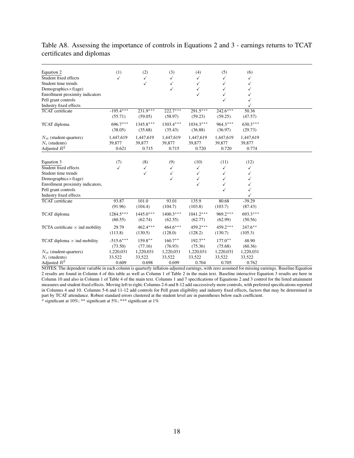| Equation 2                             | (1)         | (2)          | (3)          | (4)         | (5)          | (6)        |
|----------------------------------------|-------------|--------------|--------------|-------------|--------------|------------|
| Student fixed effects                  | ✓           | $\checkmark$ | ✓            | √           | ✓            | ✓          |
| Student time trends                    |             | ✓            | ✓            | ✓           | ✓            |            |
| Demographics $\times f(age)$           |             |              | $\checkmark$ | √           | $\checkmark$ |            |
| Enrollment proximity indicators        |             |              |              |             | ✓            |            |
| Pell grant controls                    |             |              |              |             | ✓            |            |
| Industry fixed effects                 |             |              |              |             |              |            |
| TCAT certificate                       | $-195.4***$ | $231.9***$   | $222.7***$   | $291.5***$  | $242.6***$   | 50.36      |
|                                        | (55.71)     | (59.05)      | (58.97)      | (59.23)     | (59.25)      | (47.57)    |
| TCAT diploma                           | $696.7***$  | $1345.8***$  | $1303.4***$  | $1034.3***$ | $964.3***$   | $630.3***$ |
|                                        | (38.05)     | (35.68)      | (35.43)      | (36.88)     | (36.97)      | (29.73)    |
|                                        |             |              |              |             |              |            |
| $N_{it}$ (student-quarters)            | 1,447,619   | 1,447,619    | 1,447,619    | 1,447,619   | 1,447,619    | 1,447,619  |
| $N_i$ (students)                       | 39,877      | 39,877       | 39,877       | 39,877      | 39,877       | 39,877     |
| Adjusted $R^2$                         | 0.621       | 0.715        | 0.715        | 0.720       | 0.720        | 0.774      |
|                                        |             |              |              |             |              |            |
| Equation 3                             | (7)         | (8)          | (9)          | (10)        | (11)         | (12)       |
| Student fixed effects                  | ✓           | $\checkmark$ | $\checkmark$ | ✓           | $\checkmark$ | ✓          |
| Student time trends                    |             | ✓            | $\checkmark$ | ✓           | ✓            | ✓          |
| Demographics $\times f(age)$           |             |              | ✓            | ✓           | ✓            |            |
| Enrollment proximity indicators,       |             |              |              | ✓           | ✓            |            |
| Pell grant controls                    |             |              |              |             | ✓            |            |
| Industry fixed effects                 |             |              |              |             |              |            |
| TCAT certificate                       | 93.87       | 101.0        | 93.01        | 135.9       | 80.68        | $-39.29$   |
|                                        | (91.96)     | (104.4)      | (104.7)      | (103.8)     | (103.7)      | (87.43)    |
| TCAT diploma                           | $1284.5***$ | $1445.0***$  | $1400.3***$  | $1041.2***$ | $969.2***$   | $693.3***$ |
|                                        | (60.55)     | (62.74)      | (62.55)      | (62.77)     | (62.99)      | (50.56)    |
|                                        |             |              |              |             |              |            |
| TCTA certificate $\times$ ind mobility | 29.79       | $462.4***$   | $464.6***$   | $459.2***$  | $459.2***$   | $247.6***$ |
|                                        | (113.8)     | (130.5)      | (128.0)      | (128.2)     | (130.7)      | (105.3)    |
| TCAT diploma $\times$ ind mobility     | $-515.6***$ | $159.8***$   | $160.7***$   | $192.7***$  | $177.0**$    | 48.90      |
|                                        | (73.50)     | (77.16)      | (76.93)      | (75.36)     | (75.68)      | (60.36)    |
| $N_{it}$ (student-quarters)            | 1,220,031   | 1,220,031    | 1,220,031    | 1,220,031   | 1,220,031    | 1,220,031  |
| $N_i$ (students)                       | 33,522      | 33,522       | 33,522       | 33,522      | 33,522       | 33,522     |
| Adjusted $R^2$                         | 0.609       | 0.698        | 0.699        | 0.704       | 0.705        | 0.762      |

## Table A8. Assessing the importance of controls in Equations 2 and 3 - earnings returns to TCAT certificates and diplomas

NOTES: The dependent variable in each column is quarterly inflation-adjusted earnings, with zero assumed for missing earnings. Baseline Equation 2 results are found in Column 4 of this table as well as Column 1 of Table 2 in the main text. Baseline interactive Equation 3 results are here in Column 10 and also in Column 1 of Table 4 of the main text. Columns 1 and 7 specifications of Equations 2 and 3 control for the listed attainment measures and student fixed effects. Moving left to right, Columns 2-6 and 8-12 add successively more controls, with preferred specifications reported in Columns 4 and 10. Columns 5-6 and 11-12 add controls for Pell grant eligibility and industry fixed effects, factors that may be determined in part by TCAT attendance. Robust standard errors clustered at the student level are in parentheses below each coefficient. \* significant at 10%; \*\* significant at 5%; \*\*\* significant at 1%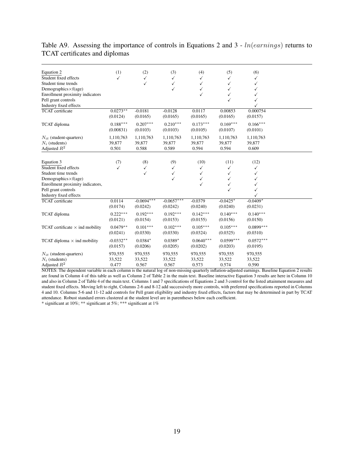| Equation 2                                      | (1)         | (2)               | (3)                          | (4)               | (5)         | (6)         |
|-------------------------------------------------|-------------|-------------------|------------------------------|-------------------|-------------|-------------|
| Student fixed effects                           | ✓           | ✓                 | ✓                            | ✓                 |             |             |
| Student time trends                             |             | ✓                 | ✓                            | ✓                 |             |             |
| Demographics $\times f(age)$                    |             |                   | ✓                            | ✓                 |             |             |
| Enrollment proximity indicators                 |             |                   |                              | ✓                 | ✓           |             |
| Pell grant controls                             |             |                   |                              |                   |             |             |
| Industry fixed effects                          |             |                   |                              |                   |             |             |
| <b>TCAT</b> certificate                         | $0.0273**$  | $-0.0181$         | $-0.0128$                    | 0.0117            | 0.00853     | 0.000754    |
|                                                 | (0.0124)    | (0.0165)          | (0.0165)                     | (0.0165)          | (0.0165)    | (0.0157)    |
| TCAT diploma                                    | $0.188***$  | $0.207***$        | $0.210***$                   | $0.173***$        | $0.169***$  | $0.166***$  |
|                                                 | (0.00831)   | (0.0103)          | (0.0103)                     | (0.0105)          | (0.0107)    | (0.0101)    |
|                                                 | 1,110,763   | 1,110,763         | 1,110,763                    | 1,110,763         | 1,110,763   | 1,110,763   |
| $N_{it}$ (student-quarters)<br>$N_i$ (students) | 39,877      | 39,877            | 39,877                       | 39,877            | 39,877      | 39,877      |
| Adjusted $R^2$                                  | 0.501       | 0.588             | 0.589                        | 0.594             | 0.594       | 0.609       |
|                                                 |             |                   |                              |                   |             |             |
| Equation 3                                      | (7)         | (8)               | (9)                          | (10)              | (11)        | (12)        |
| Student fixed effects                           | ✓           |                   |                              |                   |             |             |
| Student time trends                             |             | $\checkmark$<br>✓ | $\checkmark$<br>$\checkmark$ | ✓<br>$\checkmark$ | ✓<br>✓      | ✓           |
|                                                 |             |                   |                              |                   |             | ✓           |
| Demographics $\times f(age)$                    |             |                   | ✓                            | ✓<br>✓            | ✓           | ✓           |
| Enrollment proximity indicators,                |             |                   |                              |                   | ✓<br>✓      |             |
| Pell grant controls<br>Industry fixed effects   |             |                   |                              |                   |             |             |
| TCAT certificate                                | 0.0114      | $-0.0694***$      | $-0.0657***$                 | $-0.0379$         | $-0.0425*$  | $-0.0409*$  |
|                                                 | (0.0174)    | (0.0242)          | (0.0242)                     | (0.0240)          | (0.0240)    | (0.0231)    |
|                                                 |             |                   |                              |                   |             |             |
| TCAT diploma                                    | $0.222***$  | $0.192***$        | $0.192***$                   | $0.142***$        | $0.140***$  | $0.140***$  |
|                                                 | (0.0121)    | (0.0154)          | (0.0153)                     | (0.0155)          | (0.0156)    | (0.0150)    |
| TCAT certificate $\times$ ind mobility          | $0.0479**$  | $0.101***$        | $0.102***$                   | $0.105***$        | $0.105***$  | $0.0899***$ |
|                                                 | (0.0241)    | (0.0330)          | (0.0330)                     | (0.0324)          | (0.0325)    | (0.0310)    |
|                                                 |             |                   |                              |                   |             |             |
| TCAT diploma $\times$ ind mobility              | $-0.0332**$ | $0.0384*$         | $0.0389*$                    | $0.0640***$       | $0.0599***$ | $0.0572***$ |
|                                                 | (0.0157)    | (0.0206)          | (0.0205)                     | (0.0202)          | (0.0203)    | (0.0195)    |
| $N_{it}$ (student-quarters)                     | 970,555     | 970,555           | 970,555                      | 970,555           | 970,555     | 970,555     |
| $N_i$ (students)                                | 33,522      | 33,522            | 33,522                       | 33,522            | 33,522      | 33,522      |
| Adjusted $R^2$                                  | 0.477       | 0.567             | 0.567                        | 0.573             | 0.574       | 0.590       |

# Table A9. Assessing the importance of controls in Equations 2 and 3 - *ln*(*earnings*) returns to TCAT certificates and diplomas

NOTES: The dependent variable in each column is the natural log of non-missing quarterly inflation-adjusted earnings. Baseline Equation 2 results are found in Column 4 of this table as well as Column 2 of Table 2 in the main text. Baseline interactive Equation 3 results are here in Column 10 and also in Column 2 of Table 4 of the main text. Columns 1 and 7 specifications of Equations 2 and 3 control for the listed attainment measures and student fixed effects. Moving left to right, Columns 2-6 and 8-12 add successively more controls, with preferred specifications reported in Columns 4 and 10. Columns 5-6 and 11-12 add controls for Pell grant eligibility and industry fixed effects, factors that may be determined in part by TCAT attendance. Robust standard errors clustered at the student level are in parentheses below each coefficient.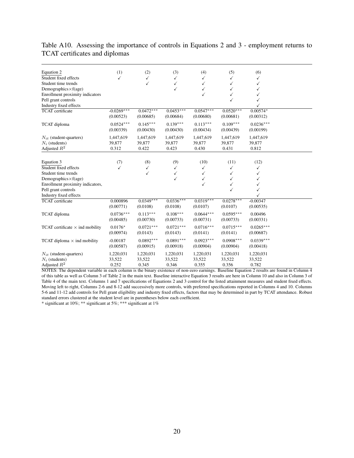| Equation 2                             | (1)          | (2)          | (3)          | (4)          | (5)          | (6)          |  |
|----------------------------------------|--------------|--------------|--------------|--------------|--------------|--------------|--|
| Student fixed effects                  | ✓            | $\checkmark$ | ✓            |              | ✓            |              |  |
| Student time trends                    |              | ✓            | $\checkmark$ | ✓            | ✓            | ✓            |  |
| Demographics $\times f(age)$           |              |              | $\checkmark$ | ✓            | ✓            |              |  |
| Enrollment proximity indicators        |              |              |              | ✓            | ✓            |              |  |
| Pell grant controls                    |              |              |              |              | $\checkmark$ |              |  |
| Industry fixed effects                 |              |              |              |              |              |              |  |
| <b>TCAT</b> certificate                | $-0.0269***$ | $0.0472***$  | $0.0453***$  | $0.0547***$  | $0.0520***$  | $0.00574*$   |  |
|                                        | (0.00523)    | (0.00685)    | (0.00684)    | (0.00680)    | (0.00681)    | (0.00312)    |  |
| TCAT diploma                           | $0.0524***$  | $0.145***$   | $0.139***$   | $0.113***$   | $0.109***$   | $0.0236***$  |  |
|                                        | (0.00339)    | (0.00430)    | (0.00430)    | (0.00434)    | (0.00439)    | (0.00199)    |  |
| $N_{it}$ (student-quarters)            | 1,447,619    | 1,447,619    | 1,447,619    | 1,447,619    | 1,447,619    | 1,447,619    |  |
| $N_i$ (students)                       | 39,877       | 39,877       | 39,877       | 39,877       | 39,877       | 39,877       |  |
| Adjusted $R^2$                         | 0.312        | 0.422        | 0.423        | 0.430        | 0.431        | 0.812        |  |
|                                        |              |              |              |              |              |              |  |
| Equation 3                             | (7)          | (8)          | (9)          | (10)         | (11)         | (12)         |  |
| Student fixed effects                  | ✓            | $\checkmark$ | $\checkmark$ | $\checkmark$ | $\checkmark$ | $\checkmark$ |  |
| Student time trends                    |              | $\checkmark$ | $\checkmark$ | ✓            | ✓            | ✓            |  |
| Demographics $\times f(age)$           |              |              | ✓            | ✓            | ✓            |              |  |
| Enrollment proximity indicators,       |              |              |              | ✓            | ✓            |              |  |
| Pell grant controls                    |              |              |              |              | ✓            |              |  |
| Industry fixed effects                 |              |              |              |              |              |              |  |
| TCAT certificate                       | 0.000896     | $0.0349***$  | $0.0336***$  | $0.0319***$  | $0.0278***$  | $-0.00347$   |  |
|                                        | (0.00771)    | (0.0108)     | (0.0108)     | (0.0107)     | (0.0107)     | (0.00535)    |  |
| TCAT diploma                           | $0.0736***$  | $0.113***$   | $0.108***$   | $0.0644***$  | $0.0595***$  | 0.00496      |  |
|                                        | (0.00485)    | (0.00730)    | (0.00733)    | (0.00731)    | (0.00733)    | (0.00331)    |  |
| TCAT certificate $\times$ ind mobility | $0.0176*$    | $0.0721***$  | $0.0721***$  | $0.0716***$  | $0.0715***$  | $0.0265***$  |  |
|                                        | (0.00974)    | (0.0143)     | (0.0143)     | (0.0141)     | (0.0141)     | (0.00687)    |  |
| TCAT diploma $\times$ ind mobility     | $-0.00187$   | $0.0892***$  | $0.0891***$  | $0.0923***$  | $0.0908***$  | $0.0339***$  |  |
|                                        | (0.00587)    | (0.00915)    | (0.00918)    | (0.00904)    | (0.00904)    | (0.00418)    |  |
| $N_{it}$ (student-quarters)            | 1,220,031    | 1,220,031    | 1,220,031    | 1,220,031    | 1,220,031    | 1,220,031    |  |
| $N_i$ (students)                       | 33,522       | 33,522       | 33,522       | 33,522       | 33,522       | 33,522       |  |
| Adjusted $R^2$                         | 0.252        | 0.345        | 0.346        | 0.355        | 0.356        | 0.782        |  |
|                                        |              |              |              |              |              |              |  |

# Table A10. Assessing the importance of controls in Equations 2 and 3 - employment returns to TCAT certificates and diplomas

NOTES: The dependent variable in each column is the binary existence of non-zero earnings. Baseline Equation 2 results are found in Column 4 of this table as well as Column 3 of Table 2 in the main text. Baseline interactive Equation 3 results are here in Column 10 and also in Column 3 of Table 4 of the main text. Columns 1 and 7 specifications of Equations 2 and 3 control for the listed attainment measures and student fixed effects. Moving left to right, Columns 2-6 and 8-12 add successively more controls, with preferred specifications reported in Columns 4 and 10. Columns 5-6 and 11-12 add controls for Pell grant eligibility and industry fixed effects, factors that may be determined in part by TCAT attendance. Robust standard errors clustered at the student level are in parentheses below each coefficient.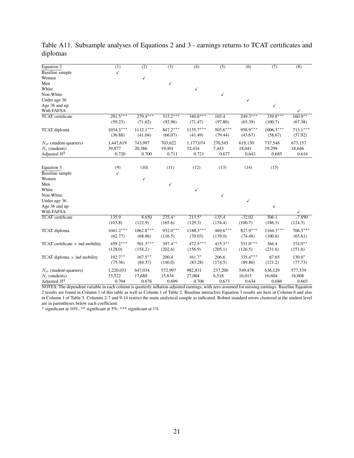| Equation 2                             | $\overline{(1)}$ | $\overline{(2)}$ | $\overline{(3)}$ | $\overline{(4)}$ | $\overline{(5)}$ | $\overline{(6)}$ | $\overline{(7)}$ | $\overline{(8)}$ |
|----------------------------------------|------------------|------------------|------------------|------------------|------------------|------------------|------------------|------------------|
| <b>Baseline</b> sample                 | $\checkmark$     |                  |                  |                  |                  |                  |                  |                  |
| Women                                  |                  | $\checkmark$     |                  |                  |                  |                  |                  |                  |
| Men                                    |                  |                  | $\checkmark$     |                  |                  |                  |                  |                  |
| White                                  |                  |                  |                  | $\checkmark$     |                  |                  |                  |                  |
| Non-White                              |                  |                  |                  |                  | ✓                |                  |                  |                  |
| Under age 36                           |                  |                  |                  |                  |                  | $\checkmark$     |                  |                  |
| Age 36 and up                          |                  |                  |                  |                  |                  |                  | ✓                |                  |
| With FAFSA                             |                  |                  |                  |                  |                  |                  |                  | ✓                |
| <b>TCAT</b> certificate                | $291.5***$       | $279.4***$       | $315.2***$       | $340.8***$       | 103.4            | $249.3***$       | $339.8***$       | $160.9**$        |
|                                        | (59.23)          | (71.02)          | (92.96)          | (71.47)          | (97.80)          | (65.39)          | (100.7)          | (67.38)          |
| TCAT diploma                           | $1034.3***$      | $1112.1***$      | $847.2***$       | $1155.7***$      | $503.6***$       | 958.9***         | $1006.3***$      | $713.1***$       |
|                                        | (36.88)          | (41.04)          | (66.07)          | (41.49)          | (79.44)          | (43.67)          | (58.67)          | (37.92)          |
| $N_{it}$ (student-quarters)            | 1,447,619        | 743,997          | 703,622          | 1,177,074        | 270,545          | 619,130          | 737,548          | 673,157          |
| $N_i$ (students)                       | 39,877           | 20,386           | 19,491           | 32,434           | 7,443            | 18,041           | 19,299           | 18,646           |
| Adjusted $R^2$                         | 0.720            | 0.700            | 0.711            | 0.721            | 0.677            | 0.643            | 0.685            | 0.616            |
|                                        |                  |                  |                  |                  |                  |                  |                  |                  |
| Equation 3                             | (9)              | (10)             | (11)             | (12)             | (13)             | (14)             | (15)             |                  |
| Baseline sample                        | ✓                |                  |                  |                  |                  |                  |                  |                  |
| Women                                  |                  | ✓                |                  |                  |                  |                  |                  |                  |
| Men                                    |                  |                  | $\checkmark$     |                  |                  |                  |                  |                  |
| White                                  |                  |                  |                  | $\checkmark$     |                  |                  |                  |                  |
| Non-White                              |                  |                  |                  |                  | ✓                |                  |                  |                  |
| Under age 36                           |                  |                  |                  |                  |                  | ✓                |                  |                  |
| Age 36 and up                          |                  |                  |                  |                  |                  |                  | ✓                |                  |
| With FAFSA                             |                  |                  |                  |                  |                  |                  |                  | ✓                |
| <b>TCAT</b> certificate                | 135.9            | 8.650            | $275.4*$         | $213.5*$         | $-135.4$         | $-32.02$         | 306.1            | $-7.890$         |
|                                        | (103.8)          | (122.9)          | (165.6)          | (129.3)          | (154.4)          | (100.7)          | (186.3)          | (124.3)          |
| TCAT diploma                           | $1041.2***$      | $1062.8***$      | $932.0***$       | $1188.3***$      | $469.6***$       | $827.9***$       | $1164.3***$      | $706.3***$       |
|                                        | (62.77)          | (68.86)          | (116.5)          | (70.03)          | (139.0)          | (74.48)          | (100.6)          | (65.61)          |
|                                        | $459.2***$       | $501.3***$       | 397.4**          | $472.5***$       | $415.3***$       | $531.0***$       | 366.4            | 374.9**          |
| TCAT certificate $\times$ ind mobility |                  |                  |                  |                  |                  |                  |                  |                  |
|                                        | (128.0)          | (154.2)          | (202.6)          | (156.9)          | (205.1)          | (126.5)          | (231.6)          | (151.6)          |
| TCAT diploma $\times$ ind mobility     | $192.7***$       | $167.5***$       | 200.4            | $161.7*$         | 206.6            | $335.4***$       | 67.65            | $130.0*$         |
|                                        | (75.36)          | (84.37)          | (140.0)          | (83.28)          | (174.5)          | (89.80)          | (121.2)          | (77.73)          |
| $N_{it}$ (student-quarters)            | 1,220,031        | 647,034          | 572,997          | 982,831          | 237,200          | 549,478          | 636,129          | 577,539          |
| $N_i$ (students)                       | 33,522           | 17,688           | 15,834           | 27,004           | 6,518            | 16,015           | 16,604           | 16,008           |
| Adjusted $R^2$                         | 0.704            | 0.676            | 0.699            | 0.706            | 0.673            | 0.634            | 0.686            | 0.603            |

Table A11. Subsample analyses of Equations 2 and 3 - earnings returns to TCAT certificates and diplomas

NOTES: The dependent variable in each column is quarterly inflation-adjusted earnings, with zero assumed for missing earnings. Baseline Equation 2 results are found in Column 1 of this table as well as Column 1 of Table 2. Baseline interactive Equation 3 results are here in Column 8 and also in Column 1 of Table 3. Columns 2-7 and 9-14 restrict the main analytical sample as indicated. Robust standard errors clustered at the student level are in parentheses below each coefficient.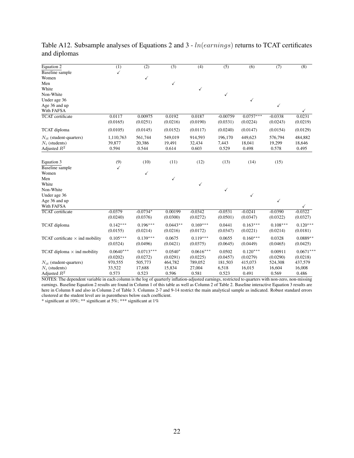| Equation 2                             | $\overline{(1)}$ | $\overline{(2)}$ | $\overline{(3)}$ | $\overline{(4)}$ | $\overline{(5)}$ | $\overline{(6)}$ | $\overline{(7)}$ | $\overline{(8)}$ |
|----------------------------------------|------------------|------------------|------------------|------------------|------------------|------------------|------------------|------------------|
| <b>Baseline</b> sample                 | $\checkmark$     |                  |                  |                  |                  |                  |                  |                  |
| Women                                  |                  | ✓                |                  |                  |                  |                  |                  |                  |
| Men                                    |                  |                  | $\checkmark$     |                  |                  |                  |                  |                  |
| White                                  |                  |                  |                  | $\checkmark$     |                  |                  |                  |                  |
| Non-White                              |                  |                  |                  |                  | ✓                |                  |                  |                  |
| Under age 36                           |                  |                  |                  |                  |                  | ✓                |                  |                  |
| Age 36 and up                          |                  |                  |                  |                  |                  |                  | $\checkmark$     |                  |
| With FAFSA                             |                  |                  |                  |                  |                  |                  |                  | ✓                |
| <b>TCAT</b> certificate                | 0.0117           | 0.00975          | 0.0192           | 0.0187           | $-0.00759$       | $0.0757***$      | $-0.0338$        | 0.0231           |
|                                        | (0.0165)         | (0.0251)         | (0.0216)         | (0.0190)         | (0.0331)         | (0.0224)         | (0.0243)         | (0.0219)         |
| TCAT diploma                           | (0.0105)         | (0.0145)         | (0.0152)         | (0.0117)         | (0.0240)         | (0.0147)         | (0.0154)         | (0.0129)         |
| $N_{it}$ (student-quarters)            | 1,110,763        | 561,744          | 549,019          | 914,593          | 196,170          | 449,623          | 576,794          | 484,882          |
| $N_i$ (students)                       | 39,877           | 20,386           | 19,491           | 32,434           | 7,443            | 18,041           | 19,299           | 18,646           |
| Adjusted $R^2$                         | 0.594            | 0.544            | 0.614            | 0.603            | 0.529            | 0.498            | 0.578            | 0.495            |
|                                        |                  |                  |                  |                  |                  |                  |                  |                  |
| Equation 3                             | (9)              | (10)             | (11)             | (12)             | (13)             | (14)             | (15)             |                  |
| Baseline sample                        | ✓                |                  |                  |                  |                  |                  |                  |                  |
| Women                                  |                  | ✓                |                  |                  |                  |                  |                  |                  |
| Men                                    |                  |                  | ✓                |                  |                  |                  |                  |                  |
| White                                  |                  |                  |                  | ✓                |                  |                  |                  |                  |
| Non-White                              |                  |                  |                  |                  | ✓                |                  |                  |                  |
| Under age 36                           |                  |                  |                  |                  |                  | ✓                |                  |                  |
| Age 36 and up                          |                  |                  |                  |                  |                  |                  | ✓                |                  |
| With FAFSA                             |                  |                  |                  |                  |                  |                  |                  | $\checkmark$     |
| <b>TCAT</b> certificate                | $-0.0379$        | $-0.0734*$       | 0.00199          | $-0.0342$        | $-0.0531$        | $-0.0241$        | $-0.0390$        | $-0.0322$        |
|                                        | (0.0240)         | (0.0376)         | (0.0300)         | (0.0272)         | (0.0501)         | (0.0347)         | (0.0322)         | (0.0327)         |
| TCAT diploma                           | $0.142***$       | $0.196***$       | $0.0443**$       | $0.169***$       | 0.0441           | $0.163***$       | $0.108***$       | $0.120***$       |
|                                        | (0.0155)         | (0.0214)         | (0.0216)         | (0.0172)         | (0.0347)         | (0.0221)         | (0.0214)         | (0.0181)         |
| TCAT certificate $\times$ ind mobility | $0.105***$       | $0.139***$       | 0.0675           | $0.119***$       | 0.0655           | $0.160***$       | 0.0328           | $0.0889**$       |
|                                        | (0.0324)         | (0.0496)         | (0.0421)         | (0.0375)         | (0.0645)         | (0.0449)         | (0.0465)         | (0.0425)         |
| TCAT diploma $\times$ ind mobility     | $0.0640***$      | $0.0713***$      | $0.0540*$        | $0.0616***$      | 0.0502           | $0.120***$       | 0.00911          | $0.0671***$      |
|                                        | (0.0202)         | (0.0272)         | (0.0291)         | (0.0225)         | (0.0457)         | (0.0279)         | (0.0290)         | (0.0218)         |
| $N_{it}$ (student-quarters)            | 970,555          | 505,773          | 464,782          | 789,052          | 181,503          | 415,073          | 524,308          | 437,579          |
| $N_i$ (students)                       | 33,522           | 17,688           | 15,834           | 27,004           | 6,518            | 16,015           | 16,604           | 16,008           |
| Adjusted $R^2$                         | 0.573            | 0.523            | 0.596            | 0.581            | 0.523            | 0.491            | 0.569            | 0.486            |

Table A12. Subsample analyses of Equations 2 and 3 - *ln*(*earnings*) returns to TCAT certificates and diplomas

NOTES: The dependent variable in each column is the log of quarterly inflation-adjusted earnings, restricted to quarters with non-zero, non-missing earnings. Baseline Equation 2 results are found in Column 1 of this table as well as Column 2 of Table 2. Baseline interactive Equation 3 results are here in Column 8 and also in Column 2 of Table 3. Columns 2-7 and 9-14 restrict the main analytical sample as indicated. Robust standard errors clustered at the student level are in parentheses below each coefficient.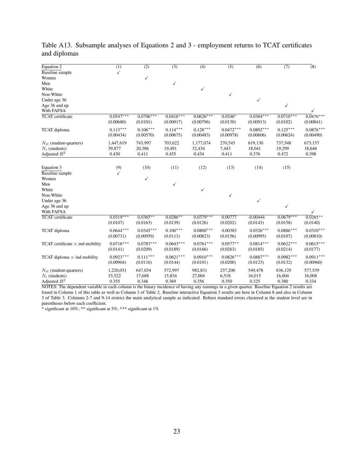| Equation 2                             | $\overline{(1)}$ | $\overline{(2)}$ | $\overline{(3)}$ | $\overline{(4)}$ | $\overline{(5)}$ | $\overline{(6)}$ | (7)         | $\bar{8}$   |
|----------------------------------------|------------------|------------------|------------------|------------------|------------------|------------------|-------------|-------------|
| <b>Baseline</b> sample                 | $\checkmark$     |                  |                  |                  |                  |                  |             |             |
| Women                                  |                  | ✓                |                  |                  |                  |                  |             |             |
| Men                                    |                  |                  | ✓                |                  |                  |                  |             |             |
| White                                  |                  |                  |                  | $\checkmark$     |                  |                  |             |             |
| Non-White                              |                  |                  |                  |                  | ✓                |                  |             |             |
| Under age 36                           |                  |                  |                  |                  |                  | √                |             |             |
| Age 36 and up                          |                  |                  |                  |                  |                  |                  | ✓           |             |
| With FAFSA                             |                  |                  |                  |                  |                  |                  |             |             |
| <b>TCAT</b> certificate                | $0.0547***$      | $0.0706***$      | $0.0416***$      | $0.0626***$      | $0.0246*$        | $0.0364***$      | $0.0710***$ | $0.0476***$ |
|                                        | (0.00680)        | (0.0101)         | (0.00917)        | (0.00796)        | (0.0130)         | (0.00913)        | (0.0102)    | (0.00841)   |
| TCAT diploma                           | $0.113***$       | $0.106***$       | $0.114***$       | $0.128***$       | $0.0472***$      | $0.0892***$      | $0.125***$  | $0.0876***$ |
|                                        | (0.00434)        | (0.00570)        | (0.00675)        | (0.00483)        | (0.00978)        | (0.00606)        | (0.00624)   | (0.00490)   |
|                                        |                  |                  |                  |                  |                  |                  |             |             |
| $N_{it}$ (student-quarters)            | 1,447,619        | 743,997          | 703,622          | 1,177,074        | 270,545          | 619,130          | 737,548     | 673,157     |
| $N_i$ (students)                       | 39,877           | 20,386           | 19,491           | 32,434           | 7,443            | 18,041           | 19,299      | 18,646      |
| Adjusted $R^2$                         | 0.430            | 0.411            | 0.455            | 0.434            | 0.411            | 0.376            | 0.472       | 0.398       |
|                                        |                  |                  |                  |                  |                  |                  |             |             |
| Equation 3                             | (9)              | (10)             | (11)             | (12)             | (13)             | (14)             | (15)        |             |
| <b>Baseline</b> sample                 | ✓                |                  |                  |                  |                  |                  |             |             |
| Women                                  |                  | ✓                |                  |                  |                  |                  |             |             |
| Men                                    |                  |                  | ✓                |                  |                  |                  |             |             |
| White                                  |                  |                  |                  | $\checkmark$     |                  |                  |             |             |
| Non-White                              |                  |                  |                  |                  | ✓                |                  |             |             |
| Under age 36                           |                  |                  |                  |                  |                  | ✓                |             |             |
| Age 36 and up                          |                  |                  |                  |                  |                  |                  | ✓           |             |
| With FAFSA                             |                  |                  |                  |                  |                  |                  |             |             |
| <b>TCAT</b> certificate                | $0.0319***$      | $0.0365**$       | $0.0286**$       | $0.0379***$      | 0.00777          | $-0.00444$       | $0.0679***$ | $0.0285**$  |
|                                        | (0.0107)         | (0.0163)         | (0.0139)         | (0.0126)         | (0.0202)         | (0.0143)         | (0.0158)    | (0.0140)    |
| TCAT diploma                           | $0.0644***$      | $0.0345***$      | $0.100***$       | $0.0800***$      | 0.00383          | $0.0326***$      | $0.0886***$ | $0.0310***$ |
|                                        | (0.00731)        | (0.00959)        | (0.0113)         | (0.00823)        | (0.0156)         | (0.00995)        | (0.0107)    | (0.00810)   |
|                                        |                  |                  |                  |                  |                  |                  |             |             |
| TCAT certificate $\times$ ind mobility | $0.0716***$      | $0.0783***$      | $0.0643***$      | $0.0761***$      | $0.0577**$       | $0.0814***$      | $0.0622***$ | $0.0615***$ |
|                                        | (0.0141)         | (0.0209)         | (0.0189)         | (0.0166)         | (0.0263)         | (0.0185)         | (0.0214)    | (0.0177)    |
| TCAT diploma $\times$ ind mobility     | $0.0923***$      | $0.111***$       | $0.0621***$      | $0.0910***$      | $0.0826***$      | $0.0887***$      | $0.0982***$ | $0.0911***$ |
|                                        | (0.00904)        | (0.0116)         | (0.0144)         | (0.0101)         | (0.0200)         | (0.0123)         | (0.0132)    | (0.00960)   |
|                                        |                  |                  |                  |                  |                  |                  |             |             |
| $N_{it}$ (student-quarters)            | 1,220,031        | 647,034          | 572,997          | 982,831          | 237,200          | 549,478          | 636,129     | 577,539     |
| $N_i$ (students)                       | 33,522           | 17,688           | 15,834           | 27,004           | 6,518            | 16,015           | 16,604      | 16,008      |
| Adjusted $R^2$                         | 0.355            | 0.346            | 0.369            | 0.356            | 0.350            | 0.325            | 0.380       | 0.334       |

|              |  |  | Table A13. Subsample analyses of Equations 2 and 3 - employment returns to TCAT certificates |  |  |
|--------------|--|--|----------------------------------------------------------------------------------------------|--|--|
| and diplomas |  |  |                                                                                              |  |  |

NOTES: The dependent variable in each column is the binary incidence of having any earnings in a given quarter. Baseline Equation 2 results are found in Column 1 of this table as well as Column 3 of Table 2. Baseline interactive Equation 3 results are here in Column 8 and also in Column 3 of Table 3. Columns 2-7 and 9-14 restrict the main analytical sample as indicated. Robust standard errors clustered at the student level are in parentheses below each coefficient.